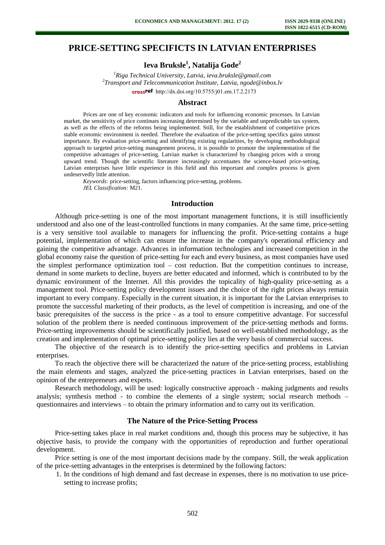# **PRICE-SETTING SPECIFICTS IN LATVIAN ENTERPRISES**

# **Ieva Bruksle<sup>1</sup> , Natalija Gode<sup>2</sup>**

*<sup>1</sup>Riga Technical University, Latvia, ieva.bruksle@gmail.com 2 Transport and Telecommunication Institute, Latvia, ngode@inbox.lv*  crossref [http://dx.doi.org/10.5755/j01.e](http://dx.doi.org/10.5755/j01.em.17.2.2173)m.17.2.2173

#### **Abstract**

Prices are one of key economic indicators and tools for influencing economic processes. In Latvian market, the sensitivity of price continues increasing determined by the variable and unpredictable tax system, as well as the effects of the reforms being implemented. Still, for the establishment of competitive prices stable economic environment is needed. Therefore the evaluation of the price-setting specifics gains utmost importance. By evaluation price-setting and identifying existing regularities, by developing methodological approach to targeted price-setting management process, it is possible to promote the implementation of the competitive advantages of price-setting. Latvian market is characterized by changing prices with a strong upward trend. Though the scientific literature increasingly accentuates the science-based price-setting, Latvian enterprises have little experience in this field and this important and complex process is given undeservedly little attention.

*Keywords:* price-setting, factors influencing price-setting, problems. *JEL Classification:* M21.

#### **Introduction**

Although price-setting is one of the most important management functions, it is still insufficiently understood and also one of the least-controlled functions in many companies. At the same time, price-setting is a very sensitive tool available to managers for influencing the profit. Price-setting contains a huge potential, implementation of which can ensure the increase in the company's operational efficiency and gaining the competitive advantage. Advances in information technologies and increased competition in the global economy raise the question of price-setting for each and every business, as most companies have used the simplest performance optimization tool – cost reduction. But the competition continues to increase, demand in some markets to decline, buyers are better educated and informed, which is contributed to by the dynamic environment of the Internet. All this provides the topicality of high-quality price-setting as a management tool. Price-setting policy development issues and the choice of the right prices always remain important to every company. Especially in the current situation, it is important for the Latvian enterprises to promote the successful marketing of their products, as the level of competition is increasing, and one of the basic prerequisites of the success is the price - as a tool to ensure competitive advantage. For successful solution of the problem there is needed continuous improvement of the price-setting methods and forms. Price-setting improvements should be scientifically justified, based on well-established methodology, as the creation and implementation of optimal price-setting policy lies at the very basis of commercial success.

The objective of the research is to identify the price-setting specifics and problems in Latvian enterprises.

To reach the objective there will be characterized the nature of the price-setting process, establishing the main elements and stages, analyzed the price-setting practices in Latvian enterprises, based on the opinion of the entrepreneurs and experts.

Research methodology, will be used: logically constructive approach - making judgments and results analysis; synthesis method - to combine the elements of a single system; social research methods – questionnaires and interviews – to obtain the primary information and to carry out its verification.

### **The Nature of the Price-Setting Process**

Price-setting takes place in real market conditions and, though this process may be subjective, it has objective basis, to provide the company with the opportunities of reproduction and further operational development.

Price setting is one of the most important decisions made by the company. Still, the weak application of the price-setting advantages in the enterprises is determined by the following factors:

1. In the conditions of high demand and fast decrease in expenses, there is no motivation to use pricesetting to increase profits;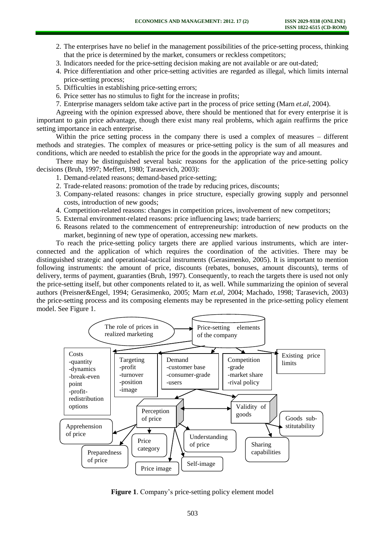- 2. The enterprises have no belief in the management possibilities of the price-setting process, thinking that the price is determined by the market, consumers or reckless competitors;
- 3. Indicators needed for the price-setting decision making are not available or are out-dated;
- 4. Price differentiation and other price-setting activities are regarded as illegal, which limits internal price-setting process;
- 5. Difficulties in establishing price-setting errors;
- 6. Price setter has no stimulus to fight for the increase in profits;
- 7. Enterprise managers seldom take active part in the process of price setting (Marn *et.al*, 2004).

Agreeing with the opinion expressed above, there should be mentioned that for every enterprise it is important to gain price advantage, though there exist many real problems, which again reaffirms the price setting importance in each enterprise.

Within the price setting process in the company there is used a complex of measures – different methods and strategies. The complex of measures or price-setting policy is the sum of all measures and conditions, which are needed to establish the price for the goods in the appropriate way and amount.

There may be distinguished several basic reasons for the application of the price-setting policy decisions (Bruh, 1997; Meffert, 1980; Tarasevich, 2003):

- 1. Demand-related reasons; demand-based price-setting;
- 2. Trade-related reasons: promotion of the trade by reducing prices, discounts;
- 3. Company-related reasons: changes in price structure, especially growing supply and personnel costs, introduction of new goods;
- 4. Competition-related reasons: changes in competition prices, involvement of new competitors;
- 5. External environment-related reasons: price influencing laws; trade barriers;
- 6. Reasons related to the commencement of entrepreneurship: introduction of new products on the market, beginning of new type of operation, accessing new markets.

To reach the price-setting policy targets there are applied various instruments, which are interconnected and the application of which requires the coordination of the activities. There may be distinguished strategic and operational-tactical instruments (Gerasimenko, 2005). It is important to mention following instruments: the amount of price, discounts (rebates, bonuses, amount discounts), terms of delivery, terms of payment, guaranties (Bruh, 1997). Consequently, to reach the targets there is used not only the price-setting itself, but other components related to it, as well. While summarizing the opinion of several authors (Preisner&Engel, 1994; Gerasimenko, 2005; Marn *et.al*, 2004; Machado, 1998; Tarasevich, 2003) the price-setting process and its composing elements may be represented in the price-setting policy element model. See Figure 1.



Figure 1. Company's price-setting policy element model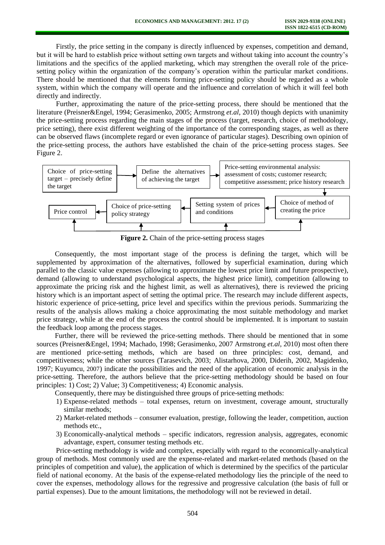Firstly, the price setting in the company is directly influenced by expenses, competition and demand, but it will be hard to establish price without setting own targets and without taking into account the country's limitations and the specifics of the applied marketing, which may strengthen the overall role of the pricesetting policy within the organization of the company's operation within the particular market conditions. There should be mentioned that the elements forming price-setting policy should be regarded as a whole system, within which the company will operate and the influence and correlation of which it will feel both directly and indirectly.

Further, approximating the nature of the price-setting process, there should be mentioned that the literature (Preisner&Engel, 1994; Gerasimenko, 2005; Armstrong *et.al*, 2010) though depicts with unanimity the price-setting process regarding the main stages of the process (target, research, choice of methodology, price setting), there exist different weighting of the importance of the corresponding stages, as well as there can be observed flaws (incomplete regard or even ignorance of particular stages). Describing own opinion of the price-setting process, the authors have established the chain of the price-setting process stages. See Figure 2.



**Figure 2.** Chain of the price-setting process stages

Consequently, the most important stage of the process is defining the target, which will be supplemented by approximation of the alternatives, followed by superficial examination, during which parallel to the classic value expenses (allowing to approximate the lowest price limit and future prospective), demand (allowing to understand psychological aspects, the highest price limit), competition (allowing to approximate the pricing risk and the highest limit, as well as alternatives), there is reviewed the pricing history which is an important aspect of setting the optimal price. The research may include different aspects, historic experience of price-setting, price level and specifics within the previous periods. Summarizing the results of the analysis allows making a choice approximating the most suitable methodology and market price strategy, while at the end of the process the control should be implemented. It is important to sustain the feedback loop among the process stages.

Further, there will be reviewed the price-setting methods. There should be mentioned that in some sources (Preisner&Engel, 1994; Machado, 1998; Gerasimenko, 2007 Armstrong *et.al*, 2010) most often there are mentioned price-setting methods, which are based on three principles: cost, demand, and competitiveness; while the other sources (Tarasevich, 2003; Alistarhova, 2000, Diderih, 2002, Magidenko, 1997; Kuyumcu, 2007) indicate the possibilities and the need of the application of economic analysis in the price-setting. Therefore, the authors believe that the price-setting methodology should be based on four principles: 1) Cost; 2) Value; 3) Competitiveness; 4) Economic analysis.

Consequently, there may be distinguished three groups of price-setting methods:

- 1) Expense-related methods total expenses, return on investment, coverage amount, structurally similar methods;
- 2) Market-related methods consumer evaluation, prestige, following the leader, competition, auction methods etc.,
- 3) Economically-analytical methods specific indicators, regression analysis, aggregates, economic advantage, expert, consumer testing methods etc.

Price-setting methodology is wide and complex, especially with regard to the economically-analytical group of methods. Most commonly used are the expense-related and market-related methods (based on the principles of competition and value), the application of which is determined by the specifics of the particular field of national economy. At the basis of the expense-related methodology lies the principle of the need to cover the expenses, methodology allows for the regressive and progressive calculation (the basis of full or partial expenses). Due to the amount limitations, the methodology will not be reviewed in detail.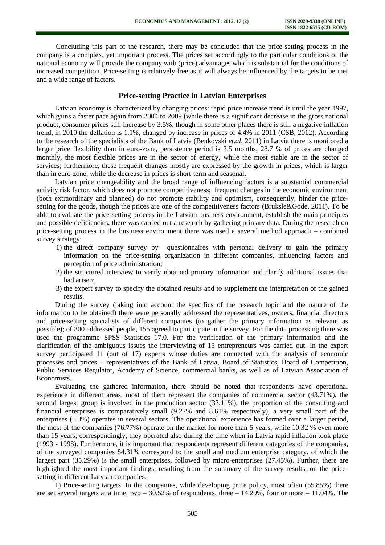Concluding this part of the research, there may be concluded that the price-setting process in the company is a complex, yet important process. The prices set accordingly to the particular conditions of the national economy will provide the company with (price) advantages which is substantial for the conditions of increased competition. Price-setting is relatively free as it will always be influenced by the targets to be met and a wide range of factors.

## **Price-setting Practice in Latvian Enterprises**

Latvian economy is characterized by changing prices: rapid price increase trend is until the year 1997, which gains a faster pace again from 2004 to 2009 (while there is a significant decrease in the gross national product, consumer prices still increase by 3.5%, though in some other places there is still a negative inflation trend, in 2010 the deflation is 1.1%, changed by increase in prices of 4.4% in 2011 (CSB, 2012). According to the research of the specialists of the Bank of Latvia (Benkovski *et.al*, 2011) in Latvia there is monitored a larger price flexibility than in euro-zone, persistence period is 3.5 months, 28.7 % of prices are changed monthly, the most flexible prices are in the sector of energy, while the most stable are in the sector of services; furthermore, these frequent changes mostly are expressed by the growth in prices, which is larger than in euro-zone, while the decrease in prices is short-term and seasonal.

Latvian price changeability and the broad range of influencing factors is a substantial commercial activity risk factor, which does not promote competitiveness; frequent changes in the economic environment (both extraordinary and planned) do not promote stability and optimism, consequently, hinder the pricesetting for the goods, though the prices are one of the competitiveness factors (Bruksle&Gode, 2011). To be able to evaluate the price-setting process in the Latvian business environment, establish the main principles and possible deficiencies, there was carried out a research by gathering primary data. During the research on price-setting process in the business environment there was used a several method approach – combined survey strategy:

- 1) the direct company survey by questionnaires with personal delivery to gain the primary information on the price-setting organization in different companies, influencing factors and perception of price administration;
- 2) the structured interview to verify obtained primary information and clarify additional issues that had arisen;
- 3) the expert survey to specify the obtained results and to supplement the interpretation of the gained results.

During the survey (taking into account the specifics of the research topic and the nature of the information to be obtained) there were personally addressed the representatives, owners, financial directors and price-setting specialists of different companies (to gather the primary information as relevant as possible); of 300 addressed people, 155 agreed to participate in the survey. For the data processing there was used the programme SPSS Statistics 17.0. For the verification of the primary information and the clarification of the ambiguous issues the interviewing of 15 entrepreneurs was carried out. In the expert survey participated 11 (out of 17) experts whose duties are connected with the analysis of economic processes and prices – representatives of the Bank of Latvia, Board of Statistics, Board of Competition, Public Services Regulator, Academy of Science, commercial banks, as well as of Latvian Association of Economists.

Evaluating the gathered information, there should be noted that respondents have operational experience in different areas, most of them represent the companies of commercial sector (43.71%), the second largest group is involved in the production sector (33.11%), the proportion of the consulting and financial enterprises is comparatively small (9.27% and 8.61% respectively), a very small part of the enterprises (5.3%) operates in several sectors. The operational experience has formed over a larger period, the most of the companies (76.77%) operate on the market for more than 5 years, while 10.32 % even more than 15 years; correspondingly, they operated also during the time when in Latvia rapid inflation took place (1993 - 1998). Furthermore, it is important that respondents represent different categories of the companies, of the surveyed companies 84.31% correspond to the small and medium enterprise category, of which the largest part (35.29%) is the small enterprises, followed by micro-enterprises (27.45%). Further, there are highlighted the most important findings, resulting from the summary of the survey results, on the pricesetting in different Latvian companies.

1) Price-setting targets. In the companies, while developing price policy, most often (55.85%) there are set several targets at a time, two  $-30.52\%$  of respondents, three  $-14.29\%$ , four or more  $-11.04\%$ . The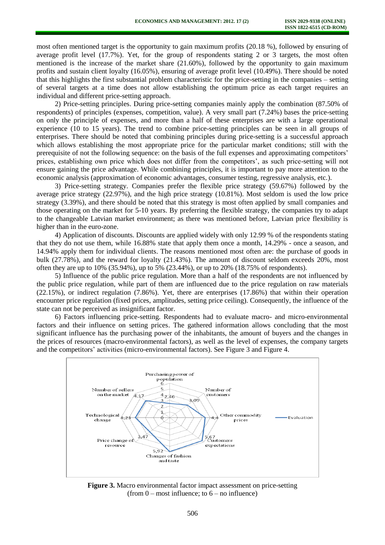most often mentioned target is the opportunity to gain maximum profits (20.18 %), followed by ensuring of average profit level (17.7%). Yet, for the group of respondents stating 2 or 3 targets, the most often mentioned is the increase of the market share (21.60%), followed by the opportunity to gain maximum profits and sustain client loyalty (16.05%), ensuring of average profit level (10.49%). There should be noted that this highlights the first substantial problem characteristic for the price-setting in the companies – setting of several targets at a time does not allow establishing the optimum price as each target requires an individual and different price-setting approach.

2) Price-setting principles. During price-setting companies mainly apply the combination (87.50% of respondents) of principles (expenses, competition, value). A very small part (7.24%) bases the price-setting on only the principle of expenses, and more than a half of these enterprises are with a large operational experience (10 to 15 years). The trend to combine price-setting principles can be seen in all groups of enterprises. There should be noted that combining principles during price-setting is a successful approach which allows establishing the most appropriate price for the particular market conditions; still with the prerequisite of not the following sequence: on the basis of the full expenses and approximating competitors' prices, establishing own price which does not differ from the competitors', as such price-setting will not ensure gaining the price advantage. While combining principles, it is important to pay more attention to the economic analysis (approximation of economic advantages, consumer testing, regressive analysis, etc.).

3) Price-setting strategy. Companies prefer the flexible price strategy (59.67%) followed by the average price strategy (22.97%), and the high price strategy (10.81%). Most seldom is used the low price strategy (3.39%), and there should be noted that this strategy is most often applied by small companies and those operating on the market for 5-10 years. By preferring the flexible strategy, the companies try to adapt to the changeable Latvian market environment; as there was mentioned before, Latvian price flexibility is higher than in the euro-zone.

4) Application of discounts. Discounts are applied widely with only 12.99 % of the respondents stating that they do not use them, while 16.88% state that apply them once a month, 14.29% - once a season, and 14.94% apply them for individual clients. The reasons mentioned most often are: the purchase of goods in bulk (27.78%), and the reward for loyalty (21.43%). The amount of discount seldom exceeds 20%, most often they are up to 10% (35.94%), up to 5% (23.44%), or up to 20% (18.75% of respondents).

5) Influence of the public price regulation. More than a half of the respondents are not influenced by the public price regulation, while part of them are influenced due to the price regulation on raw materials (22.15%), or indirect regulation (7.86%). Yet, there are enterprises (17.86%) that within their operation encounter price regulation (fixed prices, amplitudes, setting price ceiling). Consequently, the influence of the state can not be perceived as insignificant factor.

6) Factors influencing price-setting. Respondents had to evaluate macro- and micro-environmental factors and their influence on setting prices. The gathered information allows concluding that the most significant influence has the purchasing power of the inhabitants, the amount of buyers and the changes in the prices of resources (macro-environmental factors), as well as the level of expenses, the company targets and the competitors' activities (micro-environmental factors). See Figure 3 and Figure 4.



**Figure 3.** Macro environmental factor impact assessment on price-setting (from  $0$  – most influence; to  $6$  – no influence)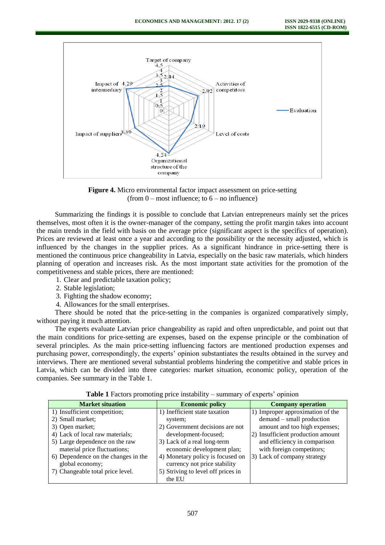

**Figure 4.** Micro environmental factor impact assessment on price-setting (from  $0$  – most influence; to  $6$  – no influence)

Summarizing the findings it is possible to conclude that Latvian entrepreneurs mainly set the prices themselves, most often it is the owner-manager of the company, setting the profit margin takes into account the main trends in the field with basis on the average price (significant aspect is the specifics of operation). Prices are reviewed at least once a year and according to the possibility or the necessity adjusted, which is influenced by the changes in the supplier prices. As a significant hindrance in price-setting there is mentioned the continuous price changeability in Latvia, especially on the basic raw materials, which hinders planning of operation and increases risk. As the most important state activities for the promotion of the competitiveness and stable prices, there are mentioned:

1. Clear and predictable taxation policy;

- 2. Stable legislation;
- 3. Fighting the shadow economy;
- 4. Allowances for the small enterprises.

There should be noted that the price-setting in the companies is organized comparatively simply, without paying it much attention.

The experts evaluate Latvian price changeability as rapid and often unpredictable, and point out that the main conditions for price-setting are expenses, based on the expense principle or the combination of several principles. As the main price-setting influencing factors are mentioned production expenses and purchasing power, correspondingly, the experts' opinion substantiates the results obtained in the survey and interviews. There are mentioned several substantial problems hindering the competitive and stable prices in Latvia, which can be divided into three categories: market situation, economic policy, operation of the companies. See summary in the Table 1.

| $\frac{1}{2}$ and $\frac{1}{2}$ are controlling price interacting |                                                                  |                                   |
|-------------------------------------------------------------------|------------------------------------------------------------------|-----------------------------------|
| <b>Market situation</b>                                           | <b>Economic policy</b>                                           | <b>Company operation</b>          |
| 1) Insufficient competition;                                      | 1) Inefficient state taxation                                    | 1) Improper approximation of the  |
| 2) Small market;                                                  | system;                                                          | demand – small production         |
| 3) Open market;                                                   | 2) Government decisions are not                                  | amount and too high expenses;     |
| 4) Lack of local raw materials;                                   | development-focused;                                             | 2) Insufficient production amount |
| 5) Large dependence on the raw                                    | 3) Lack of a real long-term                                      | and efficiency in comparison      |
| material price fluctuations;                                      | economic development plan;                                       | with foreign competitors;         |
| 6) Dependence on the changes in the<br>global economy;            | 4) Monetary policy is focused on<br>currency not price stability | 3) Lack of company strategy       |
|                                                                   |                                                                  |                                   |
| 7) Changeable total price level.                                  | 5) Striving to level off prices in                               |                                   |
|                                                                   | the EU                                                           |                                   |